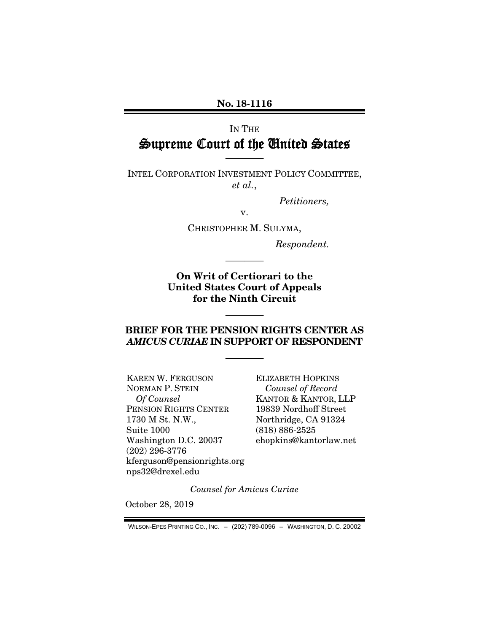No. 18-1116

## IN THE Supreme Court of the United States

INTEL CORPORATION INVESTMENT POLICY COMMITTEE, *et al.*,

————

*Petitioners,* 

v.

CHRISTOPHER M. SULYMA,

*Respondent.* 

On Writ of Certiorari to the United States Court of Appeals for the Ninth Circuit

————

## BRIEF FOR THE PENSION RIGHTS CENTER AS *AMICUS CURIAE* IN SUPPORT OF RESPONDENT

————

————

KAREN W. FERGUSON NORMAN P. STEIN *Of Counsel*  PENSION RIGHTS CENTER 1730 M St. N.W., Suite 1000 Washington D.C. 20037 (202) 296-3776 kferguson@pensionrights.org nps32@drexel.edu

ELIZABETH HOPKINS *Counsel of Record*  KANTOR & KANTOR, LLP 19839 Nordhoff Street Northridge, CA 91324 (818) 886-2525 ehopkins@kantorlaw.net

*Counsel for Amicus Curiae* 

October 28, 2019

WILSON-EPES PRINTING CO., INC. – (202) 789-0096 – WASHINGTON, D. C. 20002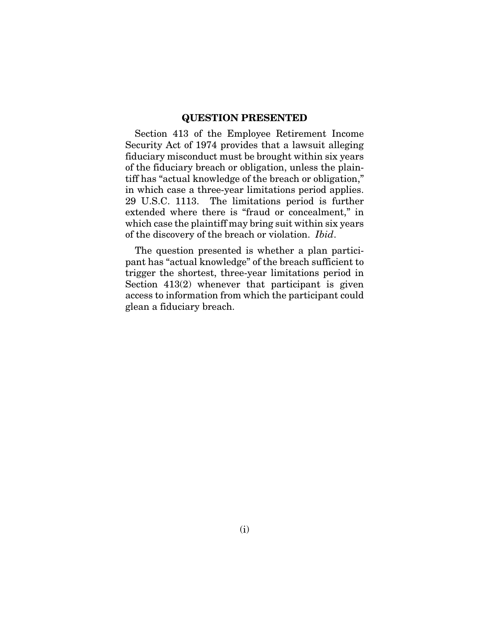### QUESTION PRESENTED

Section 413 of the Employee Retirement Income Security Act of 1974 provides that a lawsuit alleging fiduciary misconduct must be brought within six years of the fiduciary breach or obligation, unless the plaintiff has "actual knowledge of the breach or obligation," in which case a three-year limitations period applies. 29 U.S.C. 1113. The limitations period is further extended where there is "fraud or concealment," in which case the plaintiff may bring suit within six years of the discovery of the breach or violation. *Ibid*.

The question presented is whether a plan participant has "actual knowledge" of the breach sufficient to trigger the shortest, three-year limitations period in Section 413(2) whenever that participant is given access to information from which the participant could glean a fiduciary breach.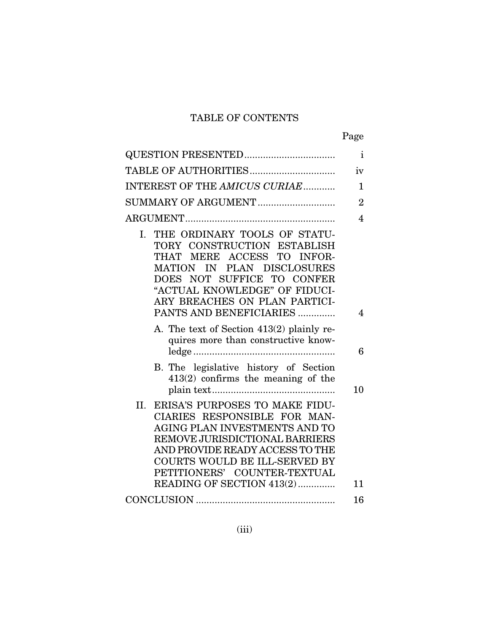## TABLE OF CONTENTS

| ۰, |
|----|
|----|

| <b>QUESTION PRESENTED</b>                                                                                                                                                                                                                                          | $\mathbf{i}$   |
|--------------------------------------------------------------------------------------------------------------------------------------------------------------------------------------------------------------------------------------------------------------------|----------------|
|                                                                                                                                                                                                                                                                    | iv             |
| INTEREST OF THE AMICUS CURIAE                                                                                                                                                                                                                                      | $\mathbf{1}$   |
| SUMMARY OF ARGUMENT                                                                                                                                                                                                                                                | $\overline{2}$ |
|                                                                                                                                                                                                                                                                    | $\overline{4}$ |
| THE ORDINARY TOOLS OF STATU-<br>Ι.<br>TORY CONSTRUCTION ESTABLISH<br>THAT MERE ACCESS TO INFOR-<br>IN PLAN DISCLOSURES<br><b>MATION</b><br>DOES NOT SUFFICE TO CONFER<br>"ACTUAL KNOWLEDGE" OF FIDUCI-<br>ARY BREACHES ON PLAN PARTICI-<br>PANTS AND BENEFICIARIES | 4              |
| A. The text of Section 413(2) plainly re-<br>quires more than constructive know-                                                                                                                                                                                   | 6              |
| B. The legislative history of Section<br>$413(2)$ confirms the meaning of the                                                                                                                                                                                      | 10             |
| ERISA'S PURPOSES TO MAKE FIDU-<br>II.<br>CIARIES RESPONSIBLE FOR MAN-<br>AGING PLAN INVESTMENTS AND TO<br>REMOVE JURISDICTIONAL BARRIERS<br>AND PROVIDE READY ACCESS TO THE<br>COURTS WOULD BE ILL-SERVED BY<br>PETITIONERS' COUNTER-TEXTUAL                       |                |
| READING OF SECTION 413(2)                                                                                                                                                                                                                                          | 11             |
|                                                                                                                                                                                                                                                                    | 16             |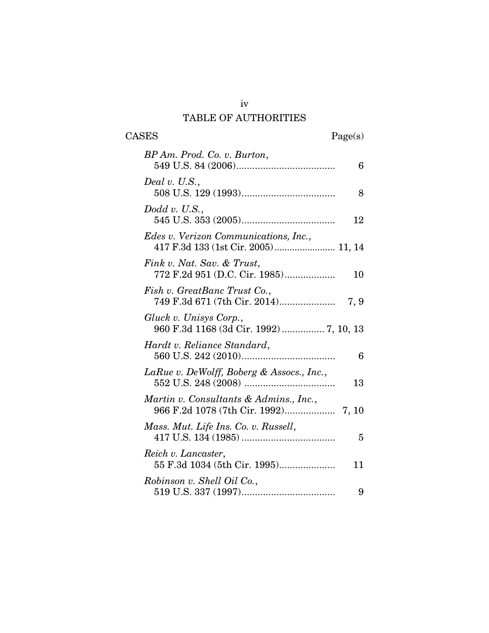## iv TABLE OF AUTHORITIES

| BP Am. Prod. Co. v. Burton,                                                         | 6    |
|-------------------------------------------------------------------------------------|------|
| Deal v. U.S.,                                                                       | 8    |
| Dodd v. U.S.,                                                                       | 12   |
| <i>Edes v. Verizon Communications, Inc.,</i><br>417 F.3d 133 (1st Cir. 2005) 11, 14 |      |
| Fink v. Nat. Sav. & Trust,<br>772 F.2d 951 (D.C. Cir. 1985)                         | 10   |
| Fish v. GreatBanc Trust Co.,<br>749 F.3d 671 (7th Cir. 2014)                        | 7, 9 |
| Gluck v. Unisys Corp.,<br>960 F.3d 1168 (3d Cir. 1992)  7, 10, 13                   |      |
| Hardt v. Reliance Standard,                                                         | 6    |
| LaRue v. DeWolff, Boberg & Assocs., Inc.,                                           | 13   |
| Martin v. Consultants & Admins., Inc.,                                              |      |
| Mass. Mut. Life Ins. Co. v. Russell,                                                | 5    |
| Reich v. Lancaster,<br>55 F.3d 1034 (5th Cir. 1995)                                 | 11   |
| Robinson v. Shell Oil Co.,                                                          | 9    |

CASES Page(s)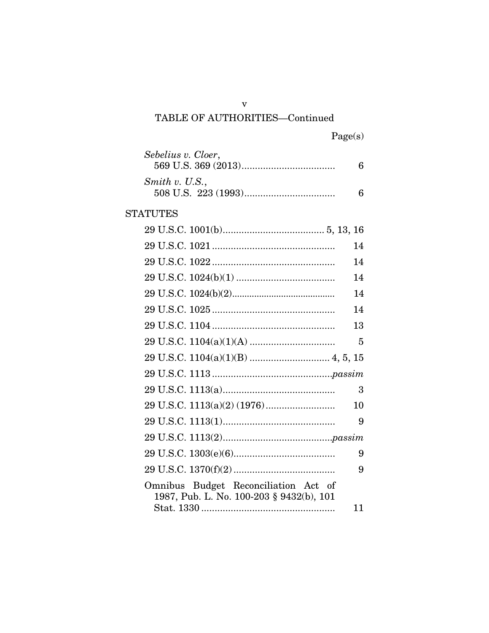# TABLE OF AUTHORITIES-Continued

| Sebelius v. Cloer,                                                                  | 6  |
|-------------------------------------------------------------------------------------|----|
| Smith v. U.S.,                                                                      | 6  |
| <b>STATUTES</b>                                                                     |    |
|                                                                                     |    |
|                                                                                     | 14 |
|                                                                                     | 14 |
|                                                                                     | 14 |
|                                                                                     | 14 |
|                                                                                     | 14 |
|                                                                                     | 13 |
|                                                                                     | 5  |
|                                                                                     |    |
|                                                                                     |    |
|                                                                                     | 3  |
|                                                                                     | 10 |
|                                                                                     | 9  |
|                                                                                     |    |
|                                                                                     | 9  |
|                                                                                     | 9  |
| Budget Reconciliation Act of<br>Omnibus<br>1987, Pub. L. No. 100-203 § 9432(b), 101 |    |
|                                                                                     | 11 |

 $\mathbf{\bar{V}}$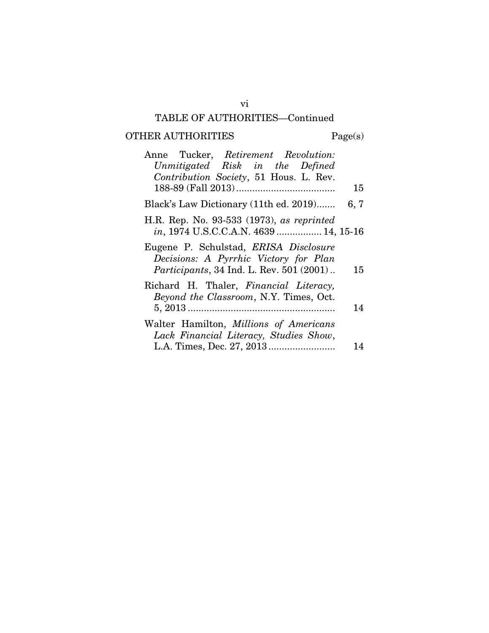## TABLE OF AUTHORITIES—Continued

# OTHER AUTHORITIES Page(s)

| Anne Tucker, Retirement Revolution:<br>Unmitigated Risk in the Defined<br>Contribution Society, 51 Hous. L. Rev.                   |      |
|------------------------------------------------------------------------------------------------------------------------------------|------|
|                                                                                                                                    | 15   |
| Black's Law Dictionary (11th ed. 2019)                                                                                             | 6, 7 |
| H.R. Rep. No. 93-533 (1973), as reprinted<br>in, 1974 U.S.C.C.A.N. 4639  14, 15-16                                                 |      |
| Eugene P. Schulstad, ERISA Disclosure<br>Decisions: A Pyrrhic Victory for Plan<br><i>Participants</i> , 34 Ind. L. Rev. 501 (2001) | 15   |
| Richard H. Thaler, Financial Literacy,<br>Beyond the Classroom, N.Y. Times, Oct.                                                   | 14   |
| Walter Hamilton, Millions of Americans<br>Lack Financial Literacy, Studies Show,                                                   | 14   |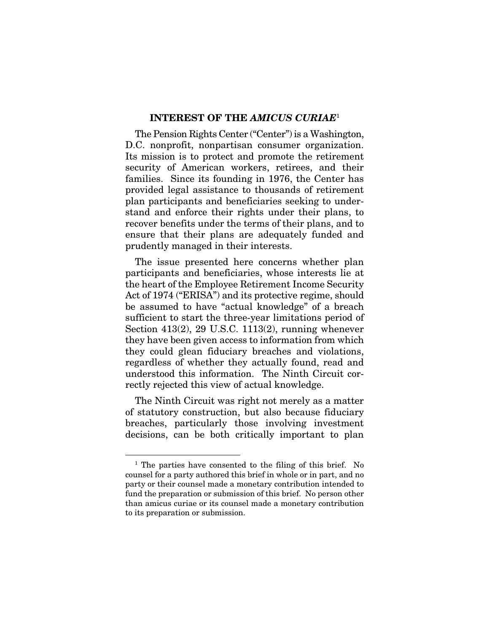### INTEREST OF THE *AMICUS CURIAE*<sup>1</sup>

The Pension Rights Center ("Center") is a Washington, D.C. nonprofit, nonpartisan consumer organization. Its mission is to protect and promote the retirement security of American workers, retirees, and their families. Since its founding in 1976, the Center has provided legal assistance to thousands of retirement plan participants and beneficiaries seeking to understand and enforce their rights under their plans, to recover benefits under the terms of their plans, and to ensure that their plans are adequately funded and prudently managed in their interests.

The issue presented here concerns whether plan participants and beneficiaries, whose interests lie at the heart of the Employee Retirement Income Security Act of 1974 ("ERISA") and its protective regime, should be assumed to have "actual knowledge" of a breach sufficient to start the three-year limitations period of Section 413(2), 29 U.S.C. 1113(2), running whenever they have been given access to information from which they could glean fiduciary breaches and violations, regardless of whether they actually found, read and understood this information. The Ninth Circuit correctly rejected this view of actual knowledge.

The Ninth Circuit was right not merely as a matter of statutory construction, but also because fiduciary breaches, particularly those involving investment decisions, can be both critically important to plan

<sup>&</sup>lt;sup>1</sup> The parties have consented to the filing of this brief. No counsel for a party authored this brief in whole or in part, and no party or their counsel made a monetary contribution intended to fund the preparation or submission of this brief. No person other than amicus curiae or its counsel made a monetary contribution to its preparation or submission.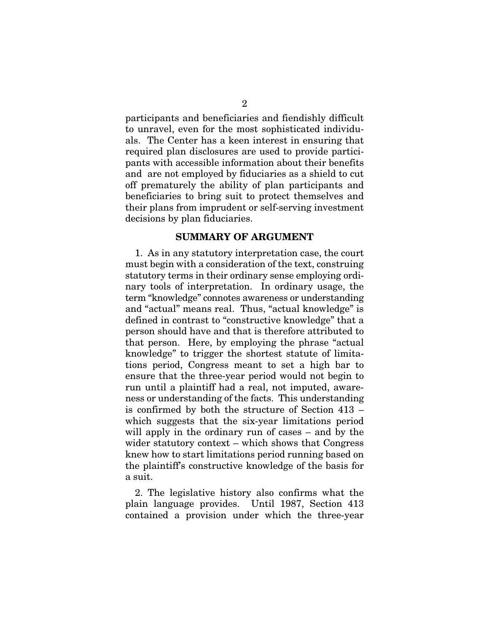participants and beneficiaries and fiendishly difficult to unravel, even for the most sophisticated individuals. The Center has a keen interest in ensuring that required plan disclosures are used to provide participants with accessible information about their benefits and are not employed by fiduciaries as a shield to cut off prematurely the ability of plan participants and beneficiaries to bring suit to protect themselves and their plans from imprudent or self-serving investment decisions by plan fiduciaries.

## SUMMARY OF ARGUMENT

1. As in any statutory interpretation case, the court must begin with a consideration of the text, construing statutory terms in their ordinary sense employing ordinary tools of interpretation. In ordinary usage, the term "knowledge" connotes awareness or understanding and "actual" means real. Thus, "actual knowledge" is defined in contrast to "constructive knowledge" that a person should have and that is therefore attributed to that person. Here, by employing the phrase "actual knowledge" to trigger the shortest statute of limitations period, Congress meant to set a high bar to ensure that the three-year period would not begin to run until a plaintiff had a real, not imputed, awareness or understanding of the facts. This understanding is confirmed by both the structure of Section 413 – which suggests that the six-year limitations period will apply in the ordinary run of cases – and by the wider statutory context – which shows that Congress knew how to start limitations period running based on the plaintiff's constructive knowledge of the basis for a suit.

2. The legislative history also confirms what the plain language provides. Until 1987, Section 413 contained a provision under which the three-year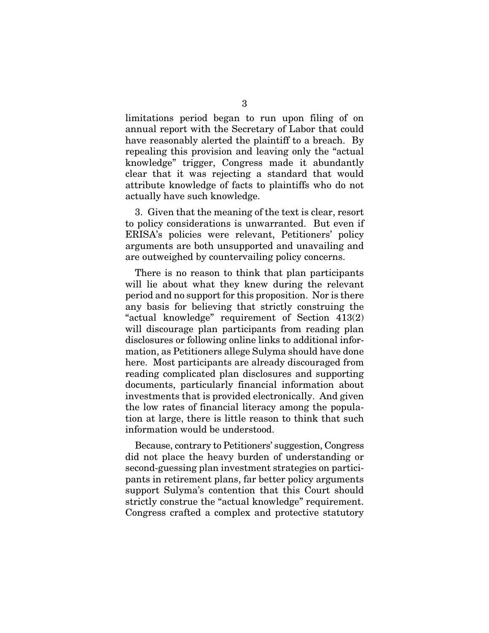limitations period began to run upon filing of on annual report with the Secretary of Labor that could have reasonably alerted the plaintiff to a breach. By repealing this provision and leaving only the "actual knowledge" trigger, Congress made it abundantly clear that it was rejecting a standard that would attribute knowledge of facts to plaintiffs who do not actually have such knowledge.

3. Given that the meaning of the text is clear, resort to policy considerations is unwarranted. But even if ERISA's policies were relevant, Petitioners' policy arguments are both unsupported and unavailing and are outweighed by countervailing policy concerns.

There is no reason to think that plan participants will lie about what they knew during the relevant period and no support for this proposition. Nor is there any basis for believing that strictly construing the "actual knowledge" requirement of Section 413(2) will discourage plan participants from reading plan disclosures or following online links to additional information, as Petitioners allege Sulyma should have done here. Most participants are already discouraged from reading complicated plan disclosures and supporting documents, particularly financial information about investments that is provided electronically. And given the low rates of financial literacy among the population at large, there is little reason to think that such information would be understood.

Because, contrary to Petitioners' suggestion, Congress did not place the heavy burden of understanding or second-guessing plan investment strategies on participants in retirement plans, far better policy arguments support Sulyma's contention that this Court should strictly construe the "actual knowledge" requirement. Congress crafted a complex and protective statutory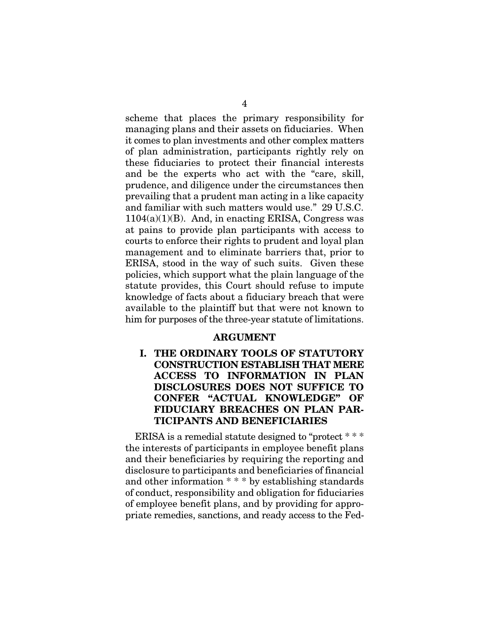scheme that places the primary responsibility for managing plans and their assets on fiduciaries. When it comes to plan investments and other complex matters of plan administration, participants rightly rely on these fiduciaries to protect their financial interests and be the experts who act with the "care, skill, prudence, and diligence under the circumstances then prevailing that a prudent man acting in a like capacity and familiar with such matters would use." 29 U.S.C.  $1104(a)(1)(B)$ . And, in enacting ERISA, Congress was at pains to provide plan participants with access to courts to enforce their rights to prudent and loyal plan management and to eliminate barriers that, prior to ERISA, stood in the way of such suits. Given these policies, which support what the plain language of the statute provides, this Court should refuse to impute knowledge of facts about a fiduciary breach that were available to the plaintiff but that were not known to him for purposes of the three-year statute of limitations.

### ARGUMENT

I. THE ORDINARY TOOLS OF STATUTORY CONSTRUCTION ESTABLISH THAT MERE ACCESS TO INFORMATION IN PLAN DISCLOSURES DOES NOT SUFFICE TO CONFER "ACTUAL KNOWLEDGE" OF FIDUCIARY BREACHES ON PLAN PAR-TICIPANTS AND BENEFICIARIES

ERISA is a remedial statute designed to "protect \* \* \* the interests of participants in employee benefit plans and their beneficiaries by requiring the reporting and disclosure to participants and beneficiaries of financial and other information \* \* \* by establishing standards of conduct, responsibility and obligation for fiduciaries of employee benefit plans, and by providing for appropriate remedies, sanctions, and ready access to the Fed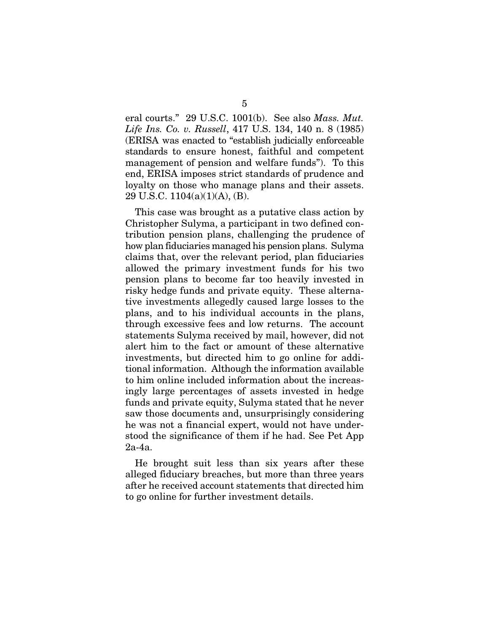eral courts." 29 U.S.C. 1001(b). See also *Mass. Mut. Life Ins. Co. v. Russell*, 417 U.S. 134, 140 n. 8 (1985) (ERISA was enacted to "establish judicially enforceable standards to ensure honest, faithful and competent management of pension and welfare funds"). To this end, ERISA imposes strict standards of prudence and loyalty on those who manage plans and their assets. 29 U.S.C. 1104(a)(1)(A), (B).

This case was brought as a putative class action by Christopher Sulyma, a participant in two defined contribution pension plans, challenging the prudence of how plan fiduciaries managed his pension plans. Sulyma claims that, over the relevant period, plan fiduciaries allowed the primary investment funds for his two pension plans to become far too heavily invested in risky hedge funds and private equity. These alternative investments allegedly caused large losses to the plans, and to his individual accounts in the plans, through excessive fees and low returns. The account statements Sulyma received by mail, however, did not alert him to the fact or amount of these alternative investments, but directed him to go online for additional information. Although the information available to him online included information about the increasingly large percentages of assets invested in hedge funds and private equity, Sulyma stated that he never saw those documents and, unsurprisingly considering he was not a financial expert, would not have understood the significance of them if he had. See Pet App 2a-4a.

He brought suit less than six years after these alleged fiduciary breaches, but more than three years after he received account statements that directed him to go online for further investment details.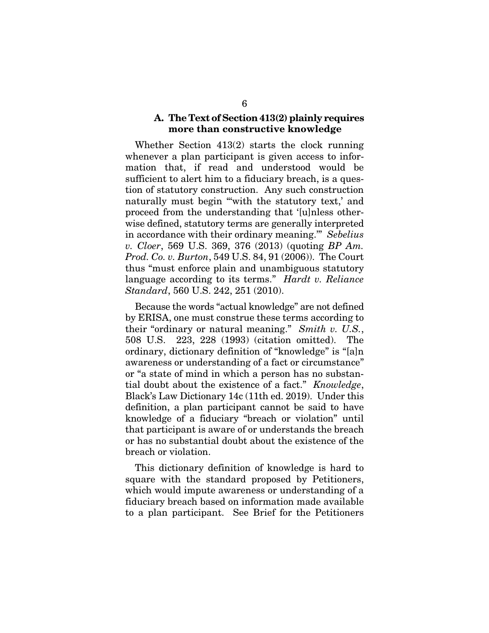## A. The Text of Section 413(2) plainly requires more than constructive knowledge

Whether Section 413(2) starts the clock running whenever a plan participant is given access to information that, if read and understood would be sufficient to alert him to a fiduciary breach, is a question of statutory construction. Any such construction naturally must begin "with the statutory text,' and proceed from the understanding that '[u]nless otherwise defined, statutory terms are generally interpreted in accordance with their ordinary meaning.'" *Sebelius v. Cloer*, 569 U.S. 369, 376 (2013) (quoting *BP Am. Prod. Co. v. Burton*, 549 U.S. 84, 91 (2006)). The Court thus "must enforce plain and unambiguous statutory language according to its terms." *Hardt v. Reliance Standard*, 560 U.S. 242, 251 (2010).

Because the words "actual knowledge" are not defined by ERISA, one must construe these terms according to their "ordinary or natural meaning." *Smith v. U.S.*, 508 U.S. 223, 228 (1993) (citation omitted). The ordinary, dictionary definition of "knowledge" is "[a]n awareness or understanding of a fact or circumstance" or "a state of mind in which a person has no substantial doubt about the existence of a fact." *Knowledge*, Black's Law Dictionary 14c (11th ed. 2019). Under this definition, a plan participant cannot be said to have knowledge of a fiduciary "breach or violation" until that participant is aware of or understands the breach or has no substantial doubt about the existence of the breach or violation.

This dictionary definition of knowledge is hard to square with the standard proposed by Petitioners, which would impute awareness or understanding of a fiduciary breach based on information made available to a plan participant. See Brief for the Petitioners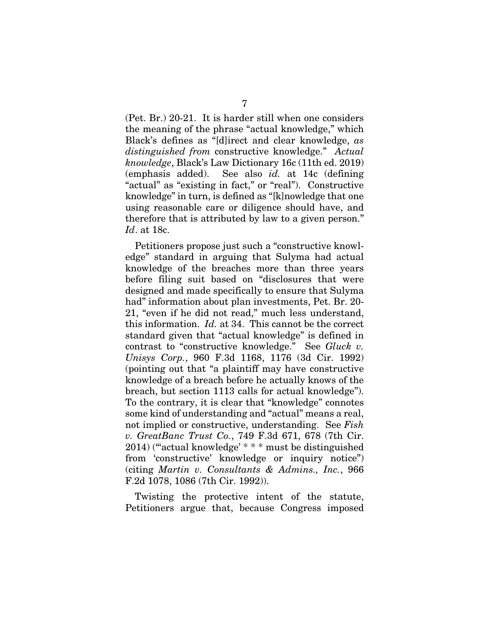(Pet. Br.) 20-21. It is harder still when one considers the meaning of the phrase "actual knowledge," which Black's defines as "[d]irect and clear knowledge, *as distinguished from* constructive knowledge." *Actual knowledge*, Black's Law Dictionary 16c (11th ed. 2019) (emphasis added). See also *id.* at 14c (defining "actual" as "existing in fact," or "real"). Constructive knowledge" in turn, is defined as "[k]nowledge that one using reasonable care or diligence should have, and therefore that is attributed by law to a given person." *Id*. at 18c.

Petitioners propose just such a "constructive knowledge" standard in arguing that Sulyma had actual knowledge of the breaches more than three years before filing suit based on "disclosures that were designed and made specifically to ensure that Sulyma had" information about plan investments, Pet. Br. 20- 21, "even if he did not read," much less understand, this information. *Id.* at 34. This cannot be the correct standard given that "actual knowledge" is defined in contrast to "constructive knowledge." See *Gluck v. Unisys Corp.*, 960 F.3d 1168, 1176 (3d Cir. 1992) (pointing out that "a plaintiff may have constructive knowledge of a breach before he actually knows of the breach, but section 1113 calls for actual knowledge"). To the contrary, it is clear that "knowledge" connotes some kind of understanding and "actual" means a real, not implied or constructive, understanding. See *Fish v. GreatBanc Trust Co.*, 749 F.3d 671, 678 (7th Cir. 2014) ("'actual knowledge' \* \* \* must be distinguished from 'constructive' knowledge or inquiry notice") (citing *Martin v. Consultants & Admins., Inc.*, 966 F.2d 1078, 1086 (7th Cir. 1992)).

Twisting the protective intent of the statute, Petitioners argue that, because Congress imposed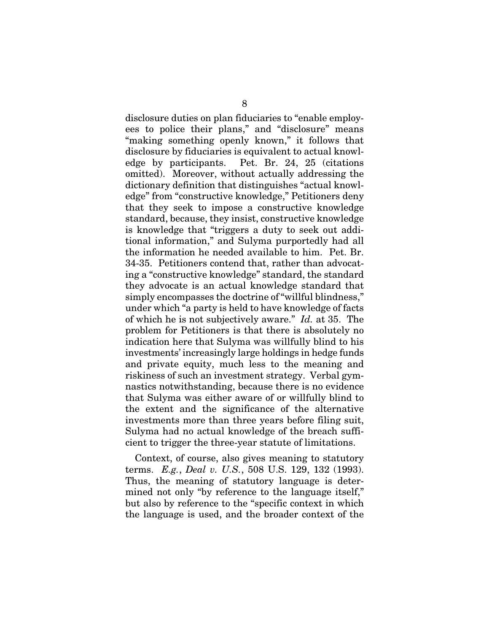disclosure duties on plan fiduciaries to "enable employees to police their plans," and "disclosure" means "making something openly known," it follows that disclosure by fiduciaries is equivalent to actual knowledge by participants. Pet. Br. 24, 25 (citations omitted). Moreover, without actually addressing the dictionary definition that distinguishes "actual knowledge" from "constructive knowledge," Petitioners deny that they seek to impose a constructive knowledge standard, because, they insist, constructive knowledge is knowledge that "triggers a duty to seek out additional information," and Sulyma purportedly had all the information he needed available to him. Pet. Br. 34-35. Petitioners contend that, rather than advocating a "constructive knowledge" standard, the standard they advocate is an actual knowledge standard that simply encompasses the doctrine of "willful blindness," under which "a party is held to have knowledge of facts of which he is not subjectively aware." *Id.* at 35. The problem for Petitioners is that there is absolutely no indication here that Sulyma was willfully blind to his investments' increasingly large holdings in hedge funds and private equity, much less to the meaning and riskiness of such an investment strategy. Verbal gymnastics notwithstanding, because there is no evidence that Sulyma was either aware of or willfully blind to the extent and the significance of the alternative investments more than three years before filing suit, Sulyma had no actual knowledge of the breach sufficient to trigger the three-year statute of limitations.

Context, of course, also gives meaning to statutory terms. *E.g.*, *Deal v. U.S.*, 508 U.S. 129, 132 (1993). Thus, the meaning of statutory language is determined not only "by reference to the language itself," but also by reference to the "specific context in which the language is used, and the broader context of the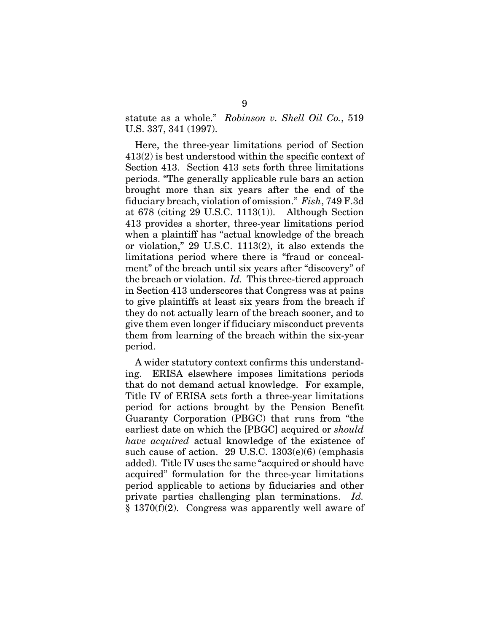statute as a whole." *Robinson v. Shell Oil Co.*, 519 U.S. 337, 341 (1997).

Here, the three-year limitations period of Section 413(2) is best understood within the specific context of Section 413. Section 413 sets forth three limitations periods. "The generally applicable rule bars an action brought more than six years after the end of the fiduciary breach, violation of omission." *Fish*, 749 F.3d at 678 (citing 29 U.S.C. 1113(1)). Although Section 413 provides a shorter, three-year limitations period when a plaintiff has "actual knowledge of the breach or violation," 29 U.S.C. 1113(2), it also extends the limitations period where there is "fraud or concealment" of the breach until six years after "discovery" of the breach or violation. *Id.* This three-tiered approach in Section 413 underscores that Congress was at pains to give plaintiffs at least six years from the breach if they do not actually learn of the breach sooner, and to give them even longer if fiduciary misconduct prevents them from learning of the breach within the six-year period.

A wider statutory context confirms this understanding. ERISA elsewhere imposes limitations periods that do not demand actual knowledge. For example, Title IV of ERISA sets forth a three-year limitations period for actions brought by the Pension Benefit Guaranty Corporation (PBGC) that runs from "the earliest date on which the [PBGC] acquired or *should have acquired* actual knowledge of the existence of such cause of action. 29 U.S.C. 1303(e)(6) (emphasis added). Title IV uses the same "acquired or should have acquired" formulation for the three-year limitations period applicable to actions by fiduciaries and other private parties challenging plan terminations. *Id.* § 1370(f)(2). Congress was apparently well aware of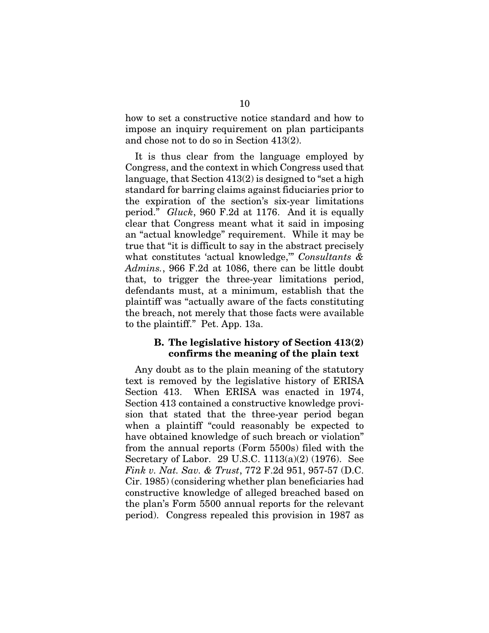how to set a constructive notice standard and how to impose an inquiry requirement on plan participants and chose not to do so in Section 413(2).

It is thus clear from the language employed by Congress, and the context in which Congress used that language, that Section 413(2) is designed to "set a high standard for barring claims against fiduciaries prior to the expiration of the section's six-year limitations period." *Gluck*, 960 F.2d at 1176. And it is equally clear that Congress meant what it said in imposing an "actual knowledge" requirement. While it may be true that "it is difficult to say in the abstract precisely what constitutes 'actual knowledge,'" *Consultants & Admins.*, 966 F.2d at 1086, there can be little doubt that, to trigger the three-year limitations period, defendants must, at a minimum, establish that the plaintiff was "actually aware of the facts constituting the breach, not merely that those facts were available to the plaintiff." Pet. App. 13a.

## B. The legislative history of Section 413(2) confirms the meaning of the plain text

Any doubt as to the plain meaning of the statutory text is removed by the legislative history of ERISA Section 413. When ERISA was enacted in 1974, Section 413 contained a constructive knowledge provision that stated that the three-year period began when a plaintiff "could reasonably be expected to have obtained knowledge of such breach or violation" from the annual reports (Form 5500s) filed with the Secretary of Labor. 29 U.S.C. 1113(a)(2) (1976). See *Fink v. Nat. Sav. & Trust*, 772 F.2d 951, 957-57 (D.C. Cir. 1985) (considering whether plan beneficiaries had constructive knowledge of alleged breached based on the plan's Form 5500 annual reports for the relevant period). Congress repealed this provision in 1987 as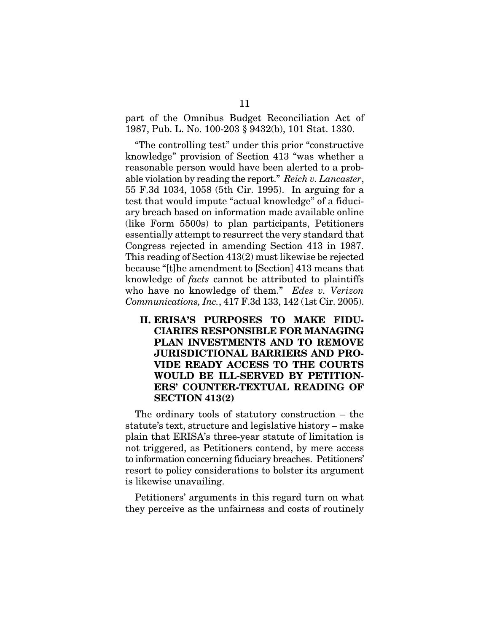part of the Omnibus Budget Reconciliation Act of 1987, Pub. L. No. 100-203 § 9432(b), 101 Stat. 1330.

"The controlling test" under this prior "constructive knowledge" provision of Section 413 "was whether a reasonable person would have been alerted to a probable violation by reading the report." *Reich v. Lancaster*, 55 F.3d 1034, 1058 (5th Cir. 1995). In arguing for a test that would impute "actual knowledge" of a fiduciary breach based on information made available online (like Form 5500s) to plan participants, Petitioners essentially attempt to resurrect the very standard that Congress rejected in amending Section 413 in 1987. This reading of Section 413(2) must likewise be rejected because "[t]he amendment to [Section] 413 means that knowledge of *facts* cannot be attributed to plaintiffs who have no knowledge of them." *Edes v. Verizon Communications, Inc.*, 417 F.3d 133, 142 (1st Cir. 2005).

II. ERISA'S PURPOSES TO MAKE FIDU-CIARIES RESPONSIBLE FOR MANAGING PLAN INVESTMENTS AND TO REMOVE JURISDICTIONAL BARRIERS AND PRO-VIDE READY ACCESS TO THE COURTS WOULD BE ILL-SERVED BY PETITION-ERS' COUNTER-TEXTUAL READING OF SECTION 413(2)

The ordinary tools of statutory construction – the statute's text, structure and legislative history – make plain that ERISA's three-year statute of limitation is not triggered, as Petitioners contend, by mere access to information concerning fiduciary breaches. Petitioners' resort to policy considerations to bolster its argument is likewise unavailing.

Petitioners' arguments in this regard turn on what they perceive as the unfairness and costs of routinely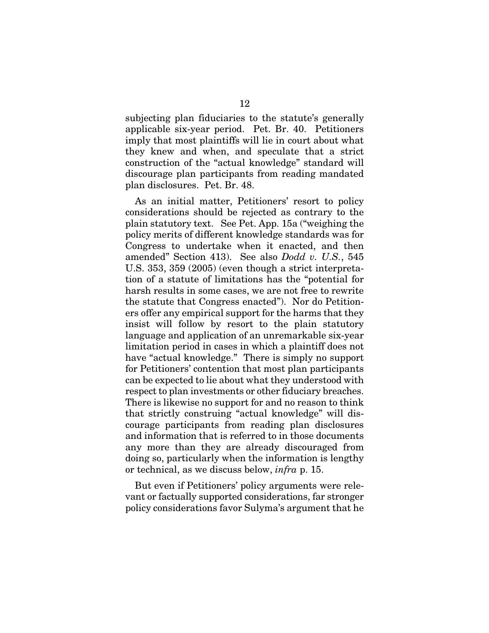subjecting plan fiduciaries to the statute's generally applicable six-year period. Pet. Br. 40. Petitioners imply that most plaintiffs will lie in court about what they knew and when, and speculate that a strict construction of the "actual knowledge" standard will discourage plan participants from reading mandated plan disclosures. Pet. Br. 48.

As an initial matter, Petitioners' resort to policy considerations should be rejected as contrary to the plain statutory text. See Pet. App. 15a ("weighing the policy merits of different knowledge standards was for Congress to undertake when it enacted, and then amended" Section 413). See also *Dodd v. U.S.*, 545 U.S. 353, 359 (2005) (even though a strict interpretation of a statute of limitations has the "potential for harsh results in some cases, we are not free to rewrite the statute that Congress enacted"). Nor do Petitioners offer any empirical support for the harms that they insist will follow by resort to the plain statutory language and application of an unremarkable six-year limitation period in cases in which a plaintiff does not have "actual knowledge." There is simply no support for Petitioners' contention that most plan participants can be expected to lie about what they understood with respect to plan investments or other fiduciary breaches. There is likewise no support for and no reason to think that strictly construing "actual knowledge" will discourage participants from reading plan disclosures and information that is referred to in those documents any more than they are already discouraged from doing so, particularly when the information is lengthy or technical, as we discuss below, *infra* p. 15.

But even if Petitioners' policy arguments were relevant or factually supported considerations, far stronger policy considerations favor Sulyma's argument that he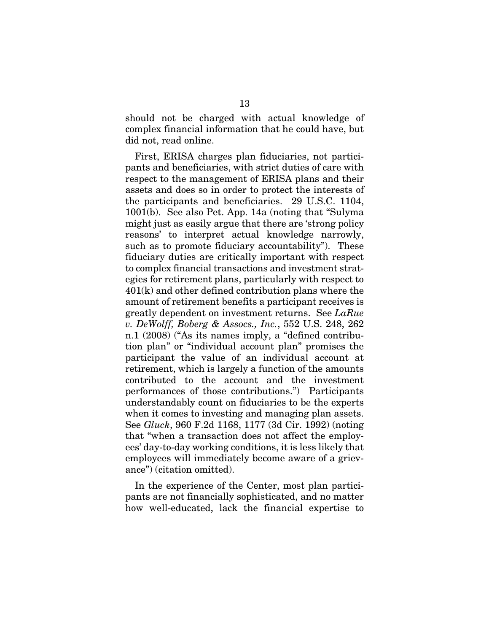should not be charged with actual knowledge of complex financial information that he could have, but did not, read online.

First, ERISA charges plan fiduciaries, not participants and beneficiaries, with strict duties of care with respect to the management of ERISA plans and their assets and does so in order to protect the interests of the participants and beneficiaries. 29 U.S.C. 1104, 1001(b). See also Pet. App. 14a (noting that "Sulyma might just as easily argue that there are 'strong policy reasons' to interpret actual knowledge narrowly, such as to promote fiduciary accountability"). These fiduciary duties are critically important with respect to complex financial transactions and investment strategies for retirement plans, particularly with respect to 401(k) and other defined contribution plans where the amount of retirement benefits a participant receives is greatly dependent on investment returns. See *LaRue v. DeWolff, Boberg & Assocs., Inc.*, 552 U.S. 248, 262 n.1 (2008) ("As its names imply, a "defined contribution plan" or "individual account plan" promises the participant the value of an individual account at retirement, which is largely a function of the amounts contributed to the account and the investment performances of those contributions.") Participants understandably count on fiduciaries to be the experts when it comes to investing and managing plan assets. See *Gluck*, 960 F.2d 1168, 1177 (3d Cir. 1992) (noting that "when a transaction does not affect the employees' day-to-day working conditions, it is less likely that employees will immediately become aware of a grievance") (citation omitted).

In the experience of the Center, most plan participants are not financially sophisticated, and no matter how well-educated, lack the financial expertise to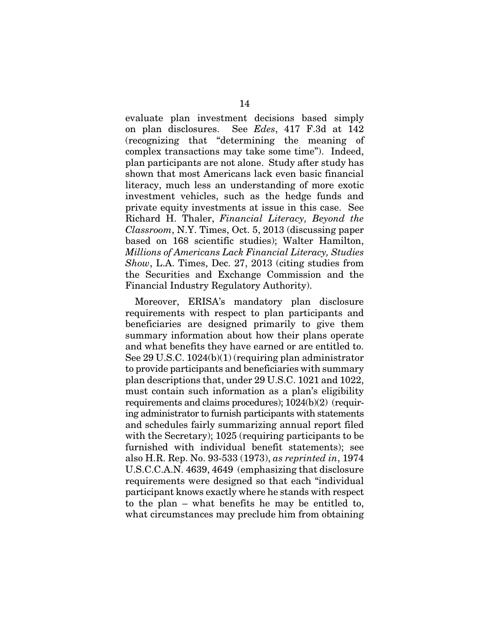evaluate plan investment decisions based simply on plan disclosures. See *Edes*, 417 F.3d at 142 (recognizing that "determining the meaning of complex transactions may take some time"). Indeed, plan participants are not alone. Study after study has shown that most Americans lack even basic financial literacy, much less an understanding of more exotic investment vehicles, such as the hedge funds and private equity investments at issue in this case. See Richard H. Thaler, *Financial Literacy, Beyond the Classroom*, N.Y. Times, Oct. 5, 2013 (discussing paper based on 168 scientific studies); Walter Hamilton, *Millions of Americans Lack Financial Literacy, Studies Show*, L.A. Times, Dec. 27, 2013 (citing studies from the Securities and Exchange Commission and the Financial Industry Regulatory Authority).

Moreover, ERISA's mandatory plan disclosure requirements with respect to plan participants and beneficiaries are designed primarily to give them summary information about how their plans operate and what benefits they have earned or are entitled to. See 29 U.S.C. 1024(b)(1) (requiring plan administrator to provide participants and beneficiaries with summary plan descriptions that, under 29 U.S.C. 1021 and 1022, must contain such information as a plan's eligibility requirements and claims procedures); 1024(b)(2) (requiring administrator to furnish participants with statements and schedules fairly summarizing annual report filed with the Secretary); 1025 (requiring participants to be furnished with individual benefit statements); see also H.R. Rep. No. 93-533 (1973), *as reprinted in*, 1974 U.S.C.C.A.N. 4639, 4649 (emphasizing that disclosure requirements were designed so that each "individual participant knows exactly where he stands with respect to the plan – what benefits he may be entitled to, what circumstances may preclude him from obtaining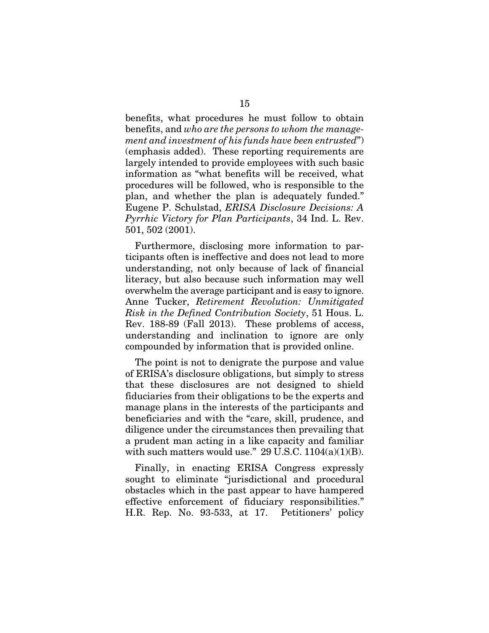benefits, what procedures he must follow to obtain benefits, and *who are the persons to whom the management and investment of his funds have been entrusted*") (emphasis added). These reporting requirements are largely intended to provide employees with such basic information as "what benefits will be received, what procedures will be followed, who is responsible to the plan, and whether the plan is adequately funded." Eugene P. Schulstad, *ERISA Disclosure Decisions: A Pyrrhic Victory for Plan Participants*, 34 Ind. L. Rev. 501, 502 (2001).

Furthermore, disclosing more information to participants often is ineffective and does not lead to more understanding, not only because of lack of financial literacy, but also because such information may well overwhelm the average participant and is easy to ignore. Anne Tucker, *Retirement Revolution: Unmitigated Risk in the Defined Contribution Society*, 51 Hous. L. Rev. 188-89 (Fall 2013). These problems of access, understanding and inclination to ignore are only compounded by information that is provided online.

The point is not to denigrate the purpose and value of ERISA's disclosure obligations, but simply to stress that these disclosures are not designed to shield fiduciaries from their obligations to be the experts and manage plans in the interests of the participants and beneficiaries and with the "care, skill, prudence, and diligence under the circumstances then prevailing that a prudent man acting in a like capacity and familiar with such matters would use."  $29$  U.S.C.  $1104(a)(1)(B)$ .

Finally, in enacting ERISA Congress expressly sought to eliminate "jurisdictional and procedural obstacles which in the past appear to have hampered effective enforcement of fiduciary responsibilities." H.R. Rep. No. 93-533, at 17. Petitioners' policy